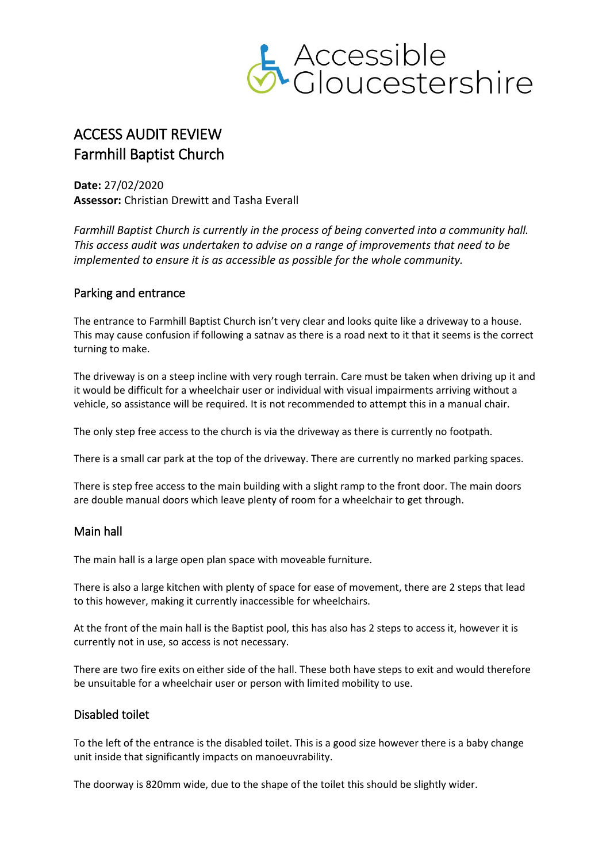

## ACCESS AUDIT REVIEW Farmhill Baptist Church

**Date:** 27/02/2020 **Assessor:** Christian Drewitt and Tasha Everall

*Farmhill Baptist Church is currently in the process of being converted into a community hall. This access audit was undertaken to advise on a range of improvements that need to be implemented to ensure it is as accessible as possible for the whole community.*

## Parking and entrance

The entrance to Farmhill Baptist Church isn't very clear and looks quite like a driveway to a house. This may cause confusion if following a satnav as there is a road next to it that it seems is the correct turning to make.

The driveway is on a steep incline with very rough terrain. Care must be taken when driving up it and it would be difficult for a wheelchair user or individual with visual impairments arriving without a vehicle, so assistance will be required. It is not recommended to attempt this in a manual chair.

The only step free access to the church is via the driveway as there is currently no footpath.

There is a small car park at the top of the driveway. There are currently no marked parking spaces.

There is step free access to the main building with a slight ramp to the front door. The main doors are double manual doors which leave plenty of room for a wheelchair to get through.

## Main hall

The main hall is a large open plan space with moveable furniture.

There is also a large kitchen with plenty of space for ease of movement, there are 2 steps that lead to this however, making it currently inaccessible for wheelchairs.

At the front of the main hall is the Baptist pool, this has also has 2 steps to access it, however it is currently not in use, so access is not necessary.

There are two fire exits on either side of the hall. These both have steps to exit and would therefore be unsuitable for a wheelchair user or person with limited mobility to use.

## Disabled toilet

To the left of the entrance is the disabled toilet. This is a good size however there is a baby change unit inside that significantly impacts on manoeuvrability.

The doorway is 820mm wide, due to the shape of the toilet this should be slightly wider.